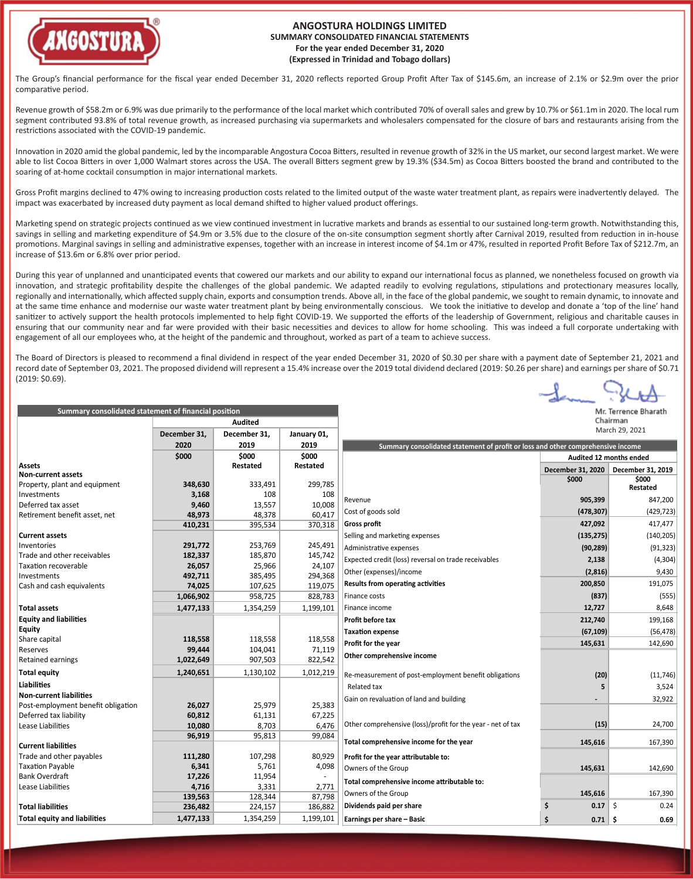

# **ANGOSTURA HOLDINGS LIMITED SUMMARY CONSOLIDATED FINANCIAL STATEMENTS For the year ended December 31, 2020 (Expressed in Trinidad and Tobago dollars)**

The Group's financial performance for the fiscal year ended December 31, 2020 reflects reported Group Profit After Tax of \$145.6m, an increase of 2.1% or \$2.9m over the prior comparative period.

Revenue growth of \$58.2m or 6.9% was due primarily to the performance of the local market which contributed 70% of overall sales and grew by 10.7% or \$61.1m in 2020. The local rum segment contributed 93.8% of total revenue growth, as increased purchasing via supermarkets and wholesalers compensated for the closure of bars and restaurants arising from the restrictions associated with the COVID-19 pandemic.

Innovation in 2020 amid the global pandemic, led by the incomparable Angostura Cocoa Bitters, resulted in revenue growth of 32% in the US market, our second largest market. We were able to list Cocoa Bitters in over 1,000 Walmart stores across the USA. The overall Bitters segment grew by 19.3% (\$34.5m) as Cocoa Bitters boosted the brand and contributed to the soaring of at-home cocktail consumption in major international markets.

Gross Profit margins declined to 47% owing to increasing production costs related to the limited output of the waste water treatment plant, as repairs were inadvertently delayed. The impact was exacerbated by increased duty payment as local demand shifted to higher valued product offerings.

Marketing spend on strategic projects continued as we view continued investment in lucrative markets and brands as essential to our sustained long-term growth. Notwithstanding this, savings in selling and marketing expenditure of \$4.9m or 3.5% due to the closure of the on-site consumption segment shortly after Carnival 2019, resulted from reduction in in-house promotions. Marginal savings in selling and administrative expenses, together with an increase in interest income of \$4.1m or 47%, resulted in reported Profit Before Tax of \$212.7m, an increase of \$13.6m or 6.8% over prior period.

During this year of unplanned and unanticipated events that cowered our markets and our ability to expand our international focus as planned, we nonetheless focused on growth via innovation, and strategic profitability despite the challenges of the global pandemic. We adapted readily to evolving regulations, stipulations and protectionary measures locally, regionally and internationally, which affected supply chain, exports and consumption trends. Above all, in the face of the global pandemic, we sought to remain dynamic, to innovate and at the same time enhance and modernise our waste water treatment plant by being environmentally conscious. We took the initiative to develop and donate a 'top of the line' hand sanitizer to actively support the health protocols implemented to help fight COVID-19. We supported the efforts of the leadership of Government, religious and charitable causes in ensuring that our community near and far were provided with their basic necessities and devices to allow for home schooling. This was indeed a full corporate undertaking with engagement of all our employees who, at the height of the pandemic and throughout, worked as part of a team to achieve success.

The Board of Directors is pleased to recommend a final dividend in respect of the year ended December 31, 2020 of \$0.30 per share with a payment date of September 21, 2021 and record date of September 03, 2021. The proposed dividend will represent a 15.4% increase over the 2019 total dividend declared (2019: \$0.26 per share) and earnings per share of \$0.71 (2019: \$0.69).

Lune Pl

| Summary consolidated statement of financial position |                  |                  |                  | Mr. Terrence Bharath                                                            |                         |                   |  |
|------------------------------------------------------|------------------|------------------|------------------|---------------------------------------------------------------------------------|-------------------------|-------------------|--|
|                                                      | <b>Audited</b>   |                  |                  | Chairman                                                                        |                         |                   |  |
|                                                      | December 31,     | December 31,     | January 01,      |                                                                                 |                         | March 29, 2021    |  |
|                                                      | 2020             | 2019             | 2019             | Summary consolidated statement of profit or loss and other comprehensive income |                         |                   |  |
|                                                      | \$000            | \$000            | \$000            |                                                                                 | Audited 12 months ended |                   |  |
| Assets                                               |                  | <b>Restated</b>  | Restated         |                                                                                 | December 31, 2020       | December 31, 2019 |  |
| <b>Non-current assets</b>                            |                  |                  |                  |                                                                                 | \$000                   | \$000             |  |
| Property, plant and equipment                        | 348,630          | 333,491          | 299,785          |                                                                                 |                         | Restated          |  |
| <b>Investments</b>                                   | 3,168            | 108              | 108              | Revenue                                                                         | 905,399                 | 847,200           |  |
| Deferred tax asset<br>Retirement benefit asset, net  | 9,460<br>48,973  | 13,557<br>48,378 | 10,008<br>60,417 | Cost of goods sold                                                              | (478, 307)              | (429, 723)        |  |
|                                                      | 410,231          | 395,534          | 370,318          | Gross profit                                                                    | 427,092                 | 417,477           |  |
| <b>Current assets</b>                                |                  |                  |                  | Selling and marketing expenses                                                  | (135, 275)              | (140, 205)        |  |
| <b>Inventories</b>                                   | 291,772          | 253,769          | 245,491          | Administrative expenses                                                         | (90, 289)               | (91, 323)         |  |
| Trade and other receivables                          | 182,337          | 185,870          | 145,742          | Expected credit (loss) reversal on trade receivables                            |                         |                   |  |
| Taxation recoverable                                 | 26,057           | 25,966           | 24,107           |                                                                                 | 2,138                   | (4, 304)          |  |
| Investments                                          | 492,711          | 385,495          | 294,368          | Other (expenses)/income                                                         | (2,816)                 | 9,430             |  |
| Cash and cash equivalents                            | 74,025           | 107,625          | 119,075          | <b>Results from operating activities</b>                                        | 200,850                 | 191,075           |  |
|                                                      | 1,066,902        | 958,725          | 828,783          | Finance costs                                                                   | (837)                   | (555)             |  |
| <b>Total assets</b>                                  | 1,477,133        | 1,354,259        | 1,199,101        | Finance income                                                                  | 12,727                  | 8,648             |  |
| <b>Equity and liabilities</b>                        |                  |                  |                  | Profit before tax                                                               | 212,740                 | 199,168           |  |
| <b>Equity</b>                                        |                  |                  |                  | <b>Taxation expense</b>                                                         | (67, 109)               | (56, 478)         |  |
| Share capital                                        | 118,558          | 118,558          | 118,558          | Profit for the year                                                             | 145,631                 | 142,690           |  |
| Reserves                                             | 99,444           | 104,041          | 71,119           | Other comprehensive income                                                      |                         |                   |  |
| <b>Retained earnings</b>                             | 1,022,649        | 907,503          | 822,542          |                                                                                 |                         |                   |  |
| <b>Total equity</b>                                  | 1,240,651        | 1,130,102        | 1,012,219        | Re-measurement of post-employment benefit obligations                           | (20)                    | (11,746)          |  |
| Liabilities                                          |                  |                  |                  | Related tax                                                                     | 5                       | 3,524             |  |
| <b>Non-current liabilities</b>                       |                  |                  |                  | Gain on revaluation of land and building                                        |                         | 32,922            |  |
| Post-employment benefit obligation                   | 26,027<br>60,812 | 25,979           | 25,383           |                                                                                 |                         |                   |  |
| Deferred tax liability<br>Lease Liabilities          | 10,080           | 61,131<br>8,703  | 67,225<br>6,476  | Other comprehensive (loss)/profit for the year - net of tax                     | (15)                    | 24,700            |  |
|                                                      | 96,919           | 95,813           | 99,084           |                                                                                 |                         |                   |  |
| <b>Current liabilities</b>                           |                  |                  |                  | Total comprehensive income for the year                                         | 145,616                 | 167,390           |  |
| Trade and other payables                             | 111,280          | 107,298          | 80,929           | Profit for the year attributable to:                                            |                         |                   |  |
| <b>Taxation Payable</b>                              | 6,341            | 5,761            | 4,098            | Owners of the Group                                                             | 145,631                 | 142,690           |  |
| <b>Bank Overdraft</b>                                | 17,226           | 11,954           |                  |                                                                                 |                         |                   |  |
| Lease Liabilities                                    | 4,716            | 3,331            | 2,771            | Total comprehensive income attributable to:                                     |                         |                   |  |
|                                                      | 139,563          | 128,344          | 87,798           | Owners of the Group                                                             | 145,616                 | 167,390           |  |
| <b>Total liabilities</b>                             | 236,482          | 224,157          | 186,882          | Dividends paid per share                                                        | $0.17 \mid \zeta$<br>\$ | 0.24              |  |
| <b>Total equity and liabilities</b>                  | 1,477,133        | 1,354,259        | 1,199,101        | Earnings per share - Basic                                                      | $0.71$ \$<br>Ś          | 0.69              |  |
|                                                      |                  |                  |                  |                                                                                 |                         |                   |  |